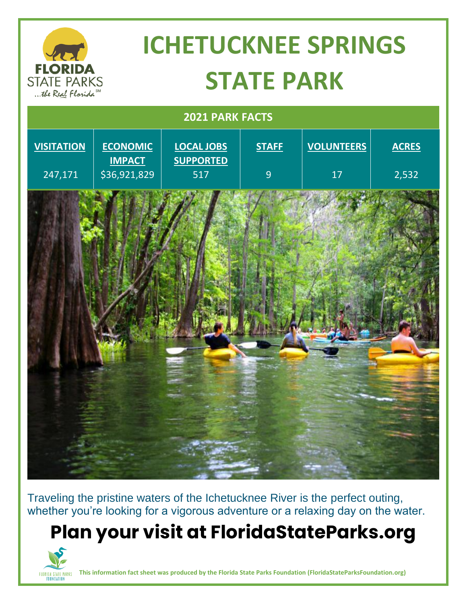

Traveling the pristine waters of the Ichetucknee River is the perfect outing, whether you're looking for a vigorous adventure or a relaxing day on the water.

## **Plan your visit at FloridaStateParks.org**



**This information fact sheet was produced by the Florida State Parks Foundation (FloridaStateParksFoundation.org)**